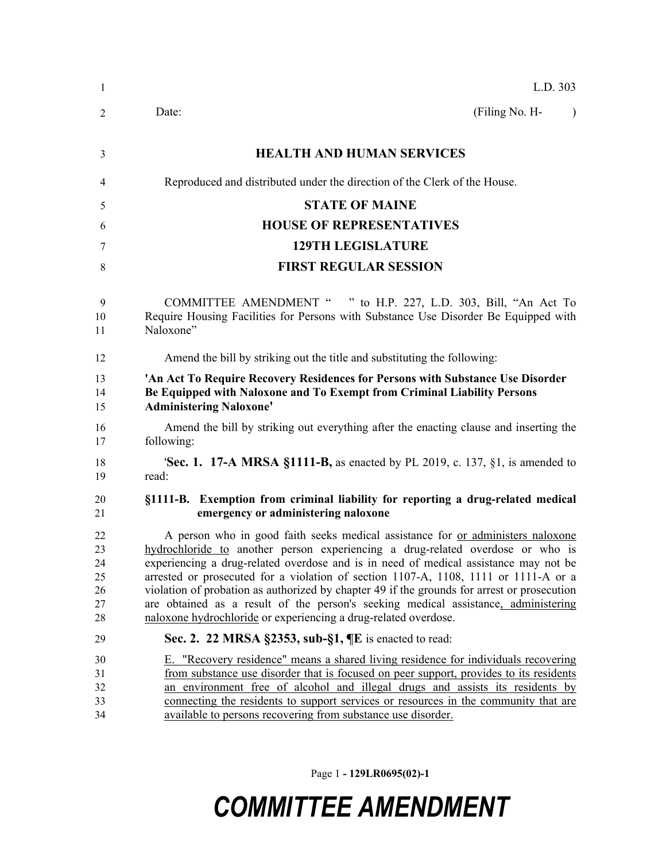| -1                                     | L.D. 303                                                                                                                                                                                                                                                                                                                                                                                                                                                                                                                                                                                                 |
|----------------------------------------|----------------------------------------------------------------------------------------------------------------------------------------------------------------------------------------------------------------------------------------------------------------------------------------------------------------------------------------------------------------------------------------------------------------------------------------------------------------------------------------------------------------------------------------------------------------------------------------------------------|
| 2                                      | (Filing No. H-<br>Date:<br>$\lambda$                                                                                                                                                                                                                                                                                                                                                                                                                                                                                                                                                                     |
| 3                                      | <b>HEALTH AND HUMAN SERVICES</b>                                                                                                                                                                                                                                                                                                                                                                                                                                                                                                                                                                         |
| 4                                      | Reproduced and distributed under the direction of the Clerk of the House.                                                                                                                                                                                                                                                                                                                                                                                                                                                                                                                                |
| 5                                      | <b>STATE OF MAINE</b>                                                                                                                                                                                                                                                                                                                                                                                                                                                                                                                                                                                    |
| 6                                      | <b>HOUSE OF REPRESENTATIVES</b>                                                                                                                                                                                                                                                                                                                                                                                                                                                                                                                                                                          |
| 7                                      | <b>129TH LEGISLATURE</b>                                                                                                                                                                                                                                                                                                                                                                                                                                                                                                                                                                                 |
| 8                                      | <b>FIRST REGULAR SESSION</b>                                                                                                                                                                                                                                                                                                                                                                                                                                                                                                                                                                             |
| 9<br>10<br>11                          | <b>COMMITTEE AMENDMENT "</b><br>" to H.P. 227, L.D. 303, Bill, "An Act To<br>Require Housing Facilities for Persons with Substance Use Disorder Be Equipped with<br>Naloxone"                                                                                                                                                                                                                                                                                                                                                                                                                            |
| 12                                     | Amend the bill by striking out the title and substituting the following:                                                                                                                                                                                                                                                                                                                                                                                                                                                                                                                                 |
| 13<br>14<br>15                         | 'An Act To Require Recovery Residences for Persons with Substance Use Disorder<br>Be Equipped with Naloxone and To Exempt from Criminal Liability Persons<br><b>Administering Naloxone'</b>                                                                                                                                                                                                                                                                                                                                                                                                              |
| 16<br>17                               | Amend the bill by striking out everything after the enacting clause and inserting the<br>following:                                                                                                                                                                                                                                                                                                                                                                                                                                                                                                      |
| 18<br>19                               | <b>Sec. 1. 17-A MRSA §1111-B,</b> as enacted by PL 2019, c. 137, §1, is amended to<br>read:                                                                                                                                                                                                                                                                                                                                                                                                                                                                                                              |
| 20<br>21                               | §1111-B. Exemption from criminal liability for reporting a drug-related medical<br>emergency or administering naloxone                                                                                                                                                                                                                                                                                                                                                                                                                                                                                   |
| 22<br>23<br>24<br>25<br>26<br>27<br>28 | A person who in good faith seeks medical assistance for or administers naloxone<br>hydrochloride to another person experiencing a drug-related overdose or who is<br>experiencing a drug-related overdose and is in need of medical assistance may not be<br>arrested or prosecuted for a violation of section 1107-A, 1108, 1111 or 1111-A or a<br>violation of probation as authorized by chapter 49 if the grounds for arrest or prosecution<br>are obtained as a result of the person's seeking medical assistance, administering<br>naloxone hydrochloride or experiencing a drug-related overdose. |
| 29                                     | Sec. 2. 22 MRSA §2353, sub-§1, ¶E is enacted to read:                                                                                                                                                                                                                                                                                                                                                                                                                                                                                                                                                    |
| 30<br>31<br>32<br>33<br>34             | E. "Recovery residence" means a shared living residence for individuals recovering<br>from substance use disorder that is focused on peer support, provides to its residents<br>an environment free of alcohol and illegal drugs and assists its residents by<br>connecting the residents to support services or resources in the community that are<br>available to persons recovering from substance use disorder.                                                                                                                                                                                     |

Page 1 **- 129LR0695(02)-1**

## *COMMITTEE AMENDMENT*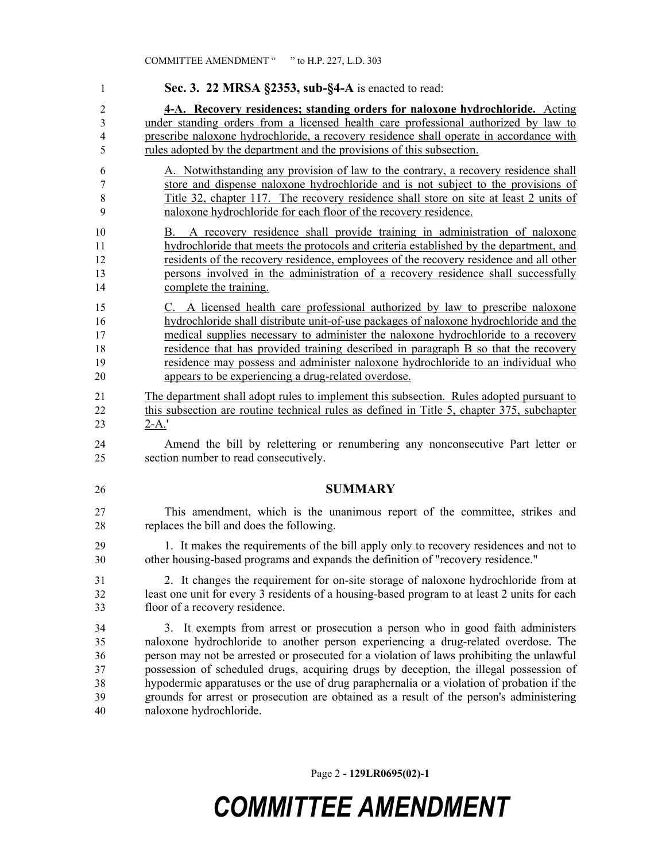**Sec. 3. 22 MRSA §2353, sub-§4-A** is enacted to read: **4-A. Recovery residences; standing orders for naloxone hydrochloride.** Acting under standing orders from a licensed health care professional authorized by law to prescribe naloxone hydrochloride, a recovery residence shall operate in accordance with rules adopted by the department and the provisions of this subsection. A. Notwithstanding any provision of law to the contrary, a recovery residence shall store and dispense naloxone hydrochloride and is not subject to the provisions of Title 32, chapter 117. The recovery residence shall store on site at least 2 units of naloxone hydrochloride for each floor of the recovery residence. B. A recovery residence shall provide training in administration of naloxone hydrochloride that meets the protocols and criteria established by the department, and residents of the recovery residence, employees of the recovery residence and all other persons involved in the administration of a recovery residence shall successfully complete the training. C. A licensed health care professional authorized by law to prescribe naloxone hydrochloride shall distribute unit-of-use packages of naloxone hydrochloride and the medical supplies necessary to administer the naloxone hydrochloride to a recovery residence that has provided training described in paragraph B so that the recovery residence may possess and administer naloxone hydrochloride to an individual who appears to be experiencing a drug-related overdose. The department shall adopt rules to implement this subsection. Rules adopted pursuant to this subsection are routine technical rules as defined in Title 5, chapter 375, subchapter 2-A.' Amend the bill by relettering or renumbering any nonconsecutive Part letter or section number to read consecutively. **SUMMARY** This amendment, which is the unanimous report of the committee, strikes and replaces the bill and does the following. 1. It makes the requirements of the bill apply only to recovery residences and not to other housing-based programs and expands the definition of "recovery residence." 2. It changes the requirement for on-site storage of naloxone hydrochloride from at least one unit for every 3 residents of a housing-based program to at least 2 units for each floor of a recovery residence. 3. It exempts from arrest or prosecution a person who in good faith administers naloxone hydrochloride to another person experiencing a drug-related overdose. The person may not be arrested or prosecuted for a violation of laws prohibiting the unlawful possession of scheduled drugs, acquiring drugs by deception, the illegal possession of hypodermic apparatuses or the use of drug paraphernalia or a violation of probation if the grounds for arrest or prosecution are obtained as a result of the person's administering naloxone hydrochloride.

Page 2 **- 129LR0695(02)-1**

## *COMMITTEE AMENDMENT*